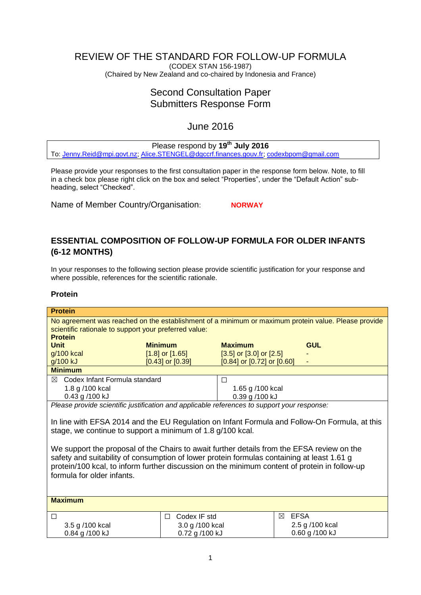# REVIEW OF THE STANDARD FOR FOLLOW-UP FORMULA

(CODEX STAN 156-1987) (Chaired by New Zealand and co-chaired by Indonesia and France)

# Second Consultation Paper Submitters Response Form

# June 2016

## Please respond by **19th July 2016**

To: [Jenny.Reid@mpi.govt.nz;](mailto:Jenny.Reid@mpi.govt.nz) [Alice.STENGEL@dgccrf.finances.gouv.fr;](mailto:Alice.STENGEL@dgccrf.finances.gouv.fr) [codexbpom@gmail.com](mailto:codexbpom@gmail.com)

Please provide your responses to the first consultation paper in the response form below. Note, to fill in a check box please right click on the box and select "Properties", under the "Default Action" subheading, select "Checked".

Name of Member Country/Organisation: **NORWAY** 

## **ESSENTIAL COMPOSITION OF FOLLOW-UP FORMULA FOR OLDER INFANTS (6-12 MONTHS)**

In your responses to the following section please provide scientific justification for your response and where possible, references for the scientific rationale.

### **Protein**

| <b>Protein</b>                                                                                |                                                                                                     |                                  |                  |                 |  |
|-----------------------------------------------------------------------------------------------|-----------------------------------------------------------------------------------------------------|----------------------------------|------------------|-----------------|--|
|                                                                                               | No agreement was reached on the establishment of a minimum or maximum protein value. Please provide |                                  |                  |                 |  |
|                                                                                               | scientific rationale to support your preferred value:                                               |                                  |                  |                 |  |
| <b>Protein</b>                                                                                |                                                                                                     |                                  |                  |                 |  |
| <b>Unit</b>                                                                                   | <b>Minimum</b>                                                                                      | <b>Maximum</b>                   |                  | <b>GUL</b>      |  |
| g/100 kcal                                                                                    | $[1.8]$ or $[1.65]$                                                                                 | $[3.5]$ or $[3.0]$ or $[2.5]$    |                  |                 |  |
| g/100 kJ                                                                                      | $[0.43]$ or $[0.39]$                                                                                | $[0.84]$ or $[0.72]$ or $[0.60]$ |                  |                 |  |
| <b>Minimum</b>                                                                                |                                                                                                     |                                  |                  |                 |  |
| Codex Infant Formula standard<br>⊠                                                            |                                                                                                     | П                                |                  |                 |  |
| 1.8 g /100 kcal                                                                               |                                                                                                     | 1.65 g /100 kcal                 |                  |                 |  |
| 0.43 g /100 kJ                                                                                |                                                                                                     | 0.39 g /100 kJ                   |                  |                 |  |
| Please provide scientific justification and applicable references to support your response:   |                                                                                                     |                                  |                  |                 |  |
|                                                                                               |                                                                                                     |                                  |                  |                 |  |
| In line with EFSA 2014 and the EU Regulation on Infant Formula and Follow-On Formula, at this |                                                                                                     |                                  |                  |                 |  |
| stage, we continue to support a minimum of 1.8 g/100 kcal.                                    |                                                                                                     |                                  |                  |                 |  |
|                                                                                               |                                                                                                     |                                  |                  |                 |  |
| We support the proposal of the Chairs to await further details from the EFSA review on the    |                                                                                                     |                                  |                  |                 |  |
| safety and suitability of consumption of lower protein formulas containing at least 1.61 g    |                                                                                                     |                                  |                  |                 |  |
| protein/100 kcal, to inform further discussion on the minimum content of protein in follow-up |                                                                                                     |                                  |                  |                 |  |
|                                                                                               |                                                                                                     |                                  |                  |                 |  |
| formula for older infants.                                                                    |                                                                                                     |                                  |                  |                 |  |
|                                                                                               |                                                                                                     |                                  |                  |                 |  |
|                                                                                               |                                                                                                     |                                  |                  |                 |  |
| <b>Maximum</b>                                                                                |                                                                                                     |                                  |                  |                 |  |
| □                                                                                             | Codex IF std<br>П                                                                                   |                                  | <b>EFSA</b><br>⊠ |                 |  |
| 3.5 g /100 kcal                                                                               | 3.0 g /100 kcal                                                                                     |                                  |                  | 2.5 g /100 kcal |  |
| 0.84 g /100 kJ                                                                                | 0.72 g /100 kJ                                                                                      |                                  |                  | 0.60 g /100 kJ  |  |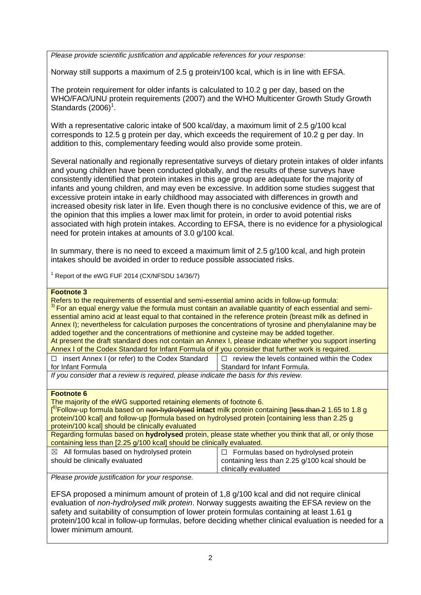*Please provide scientific justification and applicable references for your response:*

Norway still supports a maximum of 2.5 g protein/100 kcal, which is in line with EFSA.

The protein requirement for older infants is calculated to 10.2 g per day, based on the WHO/FAO/UNU protein requirements (2007) and the WHO Multicenter Growth Study Growth Standards  $(2006)^1$ .

With a representative caloric intake of 500 kcal/day, a maximum limit of 2.5 g/100 kcal corresponds to 12.5 g protein per day, which exceeds the requirement of 10.2 g per day. In addition to this, complementary feeding would also provide some protein.

Several nationally and regionally representative surveys of dietary protein intakes of older infants and young children have been conducted globally, and the results of these surveys have consistently identified that protein intakes in this age group are adequate for the majority of infants and young children, and may even be excessive. In addition some studies suggest that excessive protein intake in early childhood may associated with differences in growth and increased obesity risk later in life. Even though there is no conclusive evidence of this, we are of the opinion that this implies a lower max limit for protein, in order to avoid potential risks associated with high protein intakes. According to EFSA, there is no evidence for a physiological need for protein intakes at amounts of 3.0 g/100 kcal.

In summary, there is no need to exceed a maximum limit of 2.5 g/100 kcal, and high protein intakes should be avoided in order to reduce possible associated risks.

<sup>1</sup> Report of the eWG FUF 2014 (CX/NFSDU 14/36/7)

#### **Footnote 3**

Refers to the requirements of essential and semi-essential amino acids in follow-up formula: <sup>3)</sup> For an equal energy value the formula must contain an available quantity of each essential and semiessential amino acid at least equal to that contained in the reference protein (breast milk as defined in Annex I); nevertheless for calculation purposes the concentrations of tyrosine and phenylalanine may be added together and the concentrations of methionine and cysteine may be added together. At present the draft standard does not contain an Annex I, please indicate whether you support inserting Annex I of the Codex Standard for Infant Formula of if you consider that further work is required. ☐ insert Annex I (or refer) to the Codex Standard

for Infant Formula

 $\Box$  review the levels contained within the Codex Standard for Infant Formula.

*If you consider that a review is required, please indicate the basis for this review.*

#### **Footnote 6**

The majority of the eWG supported retaining elements of footnote 6.

[<sup>6)</sup>Follow-up formula based on <del>non-hydrolysed</del> intact milk protein containing [<del>less than 2</del> 1.65 to 1.8 g protein/100 kcal] and follow-up [formula based on hydrolysed protein [containing less than 2.25 g protein/100 kcal] should be clinically evaluated

Regarding formulas based on **hydrolysed** protein, please state whether you think that all, or only those containing less than [2.25 g/100 kcal] should be clinically evaluated.

| $\boxtimes$ All formulas based on hydrolysed protein | $\Box$ Formulas based on hydrolysed protein    |
|------------------------------------------------------|------------------------------------------------|
| should be clinically evaluated                       | containing less than 2.25 g/100 kcal should be |
|                                                      | clinically evaluated                           |

*Please provide justification for your response.*

EFSA proposed a minimum amount of protein of 1,8 g/100 kcal and did not require clinical evaluation of *non-hydrolysed milk protein*. Norway suggests awaiting the EFSA review on the safety and suitability of consumption of lower protein formulas containing at least 1.61 g protein/100 kcal in follow-up formulas, before deciding whether clinical evaluation is needed for a lower minimum amount.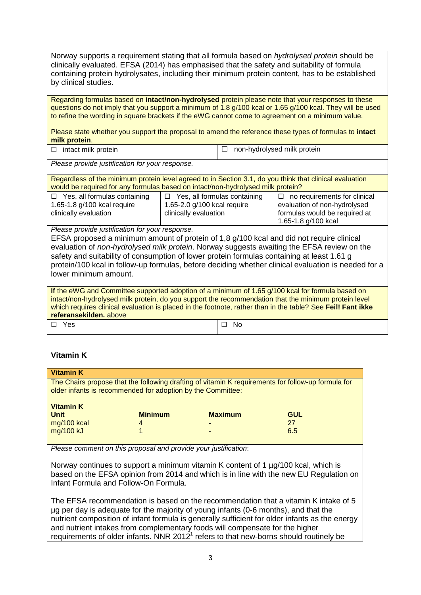Norway supports a requirement stating that all formula based on *hydrolysed protein* should be clinically evaluated. EFSA (2014) has emphasised that the safety and suitability of formula containing protein hydrolysates, including their minimum protein content, has to be established by clinical studies.

Regarding formulas based on **intact/non-hydrolysed** protein please note that your responses to these questions do not imply that you support a minimum of 1.8 g/100 kcal or 1.65 g/100 kcal. They will be used to refine the wording in square brackets if the eWG cannot come to agreement on a minimum value.

Please state whether you support the proposal to amend the reference these types of formulas to **intact milk protein**.

| $\Box$ intact milk protein | $\Box$ non-hydrolysed milk protein |
|----------------------------|------------------------------------|
|----------------------------|------------------------------------|

*Please provide justification for your response.*

Regardless of the minimum protein level agreed to in Section 3.1, do you think that clinical evaluation would be required for any formulas based on intact/non-hydrolysed milk protein?

| $\Box$ Yes, all formulas containing | $\Box$ Yes, all formulas containing | $\Box$ no requirements for clinical |
|-------------------------------------|-------------------------------------|-------------------------------------|
| 1.65-1.8 g/100 kcal require         | 1.65-2.0 g/100 kcal require         | evaluation of non-hydrolysed        |
| clinically evaluation               | clinically evaluation               | formulas would be required at       |
|                                     |                                     | 1.65-1.8 g/100 kcal                 |

*Please provide justification for your response.*

EFSA proposed a minimum amount of protein of 1,8 g/100 kcal and did not require clinical evaluation of *non-hydrolysed milk protein*. Norway suggests awaiting the EFSA review on the safety and suitability of consumption of lower protein formulas containing at least 1.61 g protein/100 kcal in follow-up formulas, before deciding whether clinical evaluation is needed for a lower minimum amount.

| If the eWG and Committee supported adoption of a minimum of 1.65 g/100 kcal for formula based on            |           |  |  |
|-------------------------------------------------------------------------------------------------------------|-----------|--|--|
| intact/non-hydrolysed milk protein, do you support the recommendation that the minimum protein level        |           |  |  |
| which requires clinical evaluation is placed in the footnote, rather than in the table? See Feil! Fant ikke |           |  |  |
| referansekilden, above                                                                                      |           |  |  |
| $\Box$ Yes                                                                                                  | $\Box$ No |  |  |

### **Vitamin K**

| <b>Vitamin K</b>                                                                                   |                |                |            |
|----------------------------------------------------------------------------------------------------|----------------|----------------|------------|
| The Chairs propose that the following drafting of vitamin K requirements for follow-up formula for |                |                |            |
|                                                                                                    |                |                |            |
| older infants is recommended for adoption by the Committee:                                        |                |                |            |
|                                                                                                    |                |                |            |
| <b>Vitamin K</b>                                                                                   |                |                |            |
|                                                                                                    |                |                |            |
| <b>Unit</b>                                                                                        | <b>Minimum</b> | <b>Maximum</b> | <b>GUL</b> |
| mg/100 kcal                                                                                        | 4              |                | 27         |
|                                                                                                    |                |                |            |
| mg/100 kJ                                                                                          |                |                | 6.5        |
|                                                                                                    |                |                |            |
|                                                                                                    |                |                |            |

*Please comment on this proposal and provide your justification*:

Norway continues to support a minimum vitamin K content of 1 µg/100 kcal, which is based on the EFSA opinion from 2014 and which is in line with the new EU Regulation on Infant Formula and Follow-On Formula.

The EFSA recommendation is based on the recommendation that a vitamin K intake of 5 µg per day is adequate for the majority of young infants (0-6 months), and that the nutrient composition of infant formula is generally sufficient for older infants as the energy and nutrient intakes from complementary foods will compensate for the higher requirements of older infants. NNR 2012 $<sup>1</sup>$  refers to that new-borns should routinely be</sup>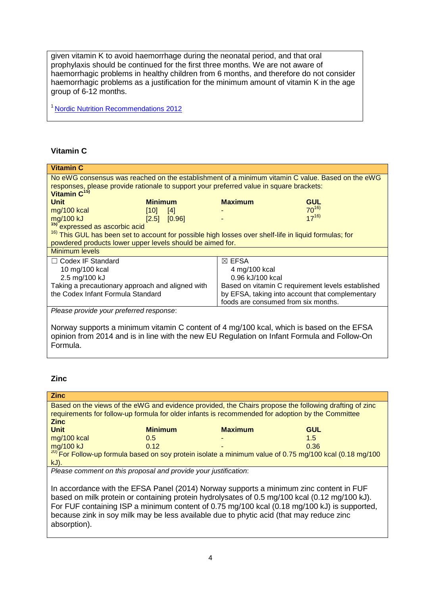given vitamin K to avoid haemorrhage during the neonatal period, and that oral prophylaxis should be continued for the first three months. We are not aware of haemorrhagic problems in healthy children from 6 months, and therefore do not consider haemorrhagic problems as a justification for the minimum amount of vitamin K in the age group of 6-12 months.

<sup>1</sup> [Nordic Nutrition Recommendations 2012](http://norden.diva-portal.org/smash/get/diva2:704251/FULLTEXT01.pdf)

## **Vitamin C**

| <b>Vitamin C</b>                                                                                                 |                |                  |                                                   |            |
|------------------------------------------------------------------------------------------------------------------|----------------|------------------|---------------------------------------------------|------------|
| No eWG consensus was reached on the establishment of a minimum vitamin C value. Based on the eWG                 |                |                  |                                                   |            |
| responses, please provide rationale to support your preferred value in square brackets:                          |                |                  |                                                   |            |
| Vitamin C <sup>15)</sup>                                                                                         |                |                  |                                                   |            |
| <b>Unit</b>                                                                                                      | <b>Minimum</b> |                  | <b>Maximum</b>                                    | <b>GUL</b> |
| mg/100 kcal                                                                                                      | [10]           | $[4]$            |                                                   | $70^{16}$  |
| mg/100 kJ                                                                                                        |                | $[2.5]$ $[0.96]$ |                                                   | $17^{16}$  |
| <sup>15)</sup> expressed as ascorbic acid                                                                        |                |                  |                                                   |            |
| <sup>16)</sup> This GUL has been set to account for possible high losses over shelf-life in liquid formulas; for |                |                  |                                                   |            |
| powdered products lower upper levels should be aimed for.                                                        |                |                  |                                                   |            |
| <b>Minimum levels</b>                                                                                            |                |                  |                                                   |            |
| $\Box$ Codex IF Standard                                                                                         |                |                  | $\boxtimes$ EFSA                                  |            |
| 10 mg/100 kcal                                                                                                   |                |                  | 4 mg/100 kcal                                     |            |
| 2.5 mg/100 kJ                                                                                                    |                |                  | 0.96 kJ/100 kcal                                  |            |
| Taking a precautionary approach and aligned with                                                                 |                |                  | Based on vitamin C requirement levels established |            |
| the Codex Infant Formula Standard                                                                                |                |                  | by EFSA, taking into account that complementary   |            |
|                                                                                                                  |                |                  | foods are consumed from six months.               |            |
| Please provide your preferred response:                                                                          |                |                  |                                                   |            |

Norway supports a minimum vitamin C content of 4 mg/100 kcal, which is based on the EFSA opinion from 2014 and is in line with the new EU Regulation on Infant Formula and Follow-On Formula.

## **Zinc**

| <b>Zinc</b>                                                                                                 |                |                |            |
|-------------------------------------------------------------------------------------------------------------|----------------|----------------|------------|
| Based on the views of the eWG and evidence provided, the Chairs propose the following drafting of zinc      |                |                |            |
| requirements for follow-up formula for older infants is recommended for adoption by the Committee           |                |                |            |
| <b>Zinc</b>                                                                                                 |                |                |            |
| <b>Unit</b>                                                                                                 | <b>Minimum</b> | <b>Maximum</b> | <b>GUL</b> |
| mg/100 kcal                                                                                                 | 0.5            | ٠              | 1.5        |
| mg/100 kJ                                                                                                   | 0.12           | -              | 0.36       |
| $^{20}$ For Follow-up formula based on soy protein isolate a minimum value of 0.75 mg/100 kcal (0.18 mg/100 |                |                |            |
| kJ).                                                                                                        |                |                |            |

*Please comment on this proposal and provide your justification*:

In accordance with the EFSA Panel (2014) Norway supports a minimum zinc content in FUF based on milk protein or containing protein hydrolysates of 0.5 mg/100 kcal (0.12 mg/100 kJ). For FUF containing ISP a minimum content of 0.75 mg/100 kcal (0.18 mg/100 kJ) is supported, because zink in soy milk may be less available due to phytic acid (that may reduce zinc absorption).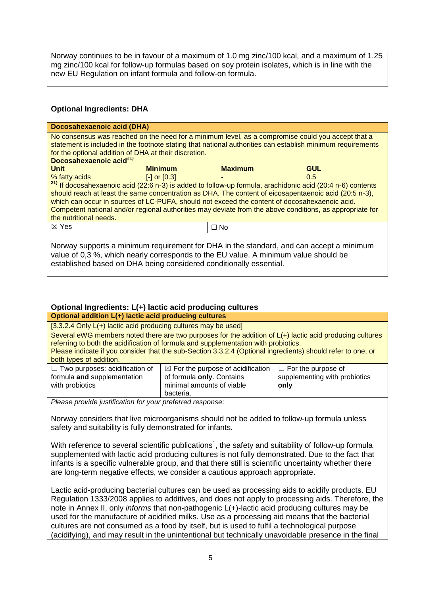Norway continues to be in favour of a maximum of 1.0 mg zinc/100 kcal, and a maximum of 1.25 mg zinc/100 kcal for follow-up formulas based on soy protein isolates, which is in line with the new EU Regulation on infant formula and follow-on formula.

## **Optional Ingredients: DHA**

| Docosahexaenoic acid (DHA)                                                                                                                                                                                                                                                                                      |                  |                |                                                                                                                                                                                                                                                                                                                                                             |  |
|-----------------------------------------------------------------------------------------------------------------------------------------------------------------------------------------------------------------------------------------------------------------------------------------------------------------|------------------|----------------|-------------------------------------------------------------------------------------------------------------------------------------------------------------------------------------------------------------------------------------------------------------------------------------------------------------------------------------------------------------|--|
| No consensus was reached on the need for a minimum level, as a compromise could you accept that a<br>statement is included in the footnote stating that national authorities can establish minimum requirements<br>for the optional addition of DHA at their discretion.<br>Docosahexaenoic acid <sup>21)</sup> |                  |                |                                                                                                                                                                                                                                                                                                                                                             |  |
| <b>Unit</b>                                                                                                                                                                                                                                                                                                     | <b>Minimum</b>   | <b>Maximum</b> | <b>GUL</b>                                                                                                                                                                                                                                                                                                                                                  |  |
| % fatty acids<br>which can occur in sources of LC-PUFA, should not exceed the content of docosahexaenoic acid.<br>the nutritional needs.                                                                                                                                                                        | $[-]$ or $[0.3]$ |                | $0.5^{\circ}$<br><sup>21)</sup> If docosahexaenoic acid (22:6 n-3) is added to follow-up formula, arachidonic acid (20:4 n-6) contents<br>should reach at least the same concentration as DHA. The content of eicosapentaenoic acid (20:5 n-3),<br>Competent national and/or regional authorities may deviate from the above conditions, as appropriate for |  |
| $\boxtimes$ Yes                                                                                                                                                                                                                                                                                                 |                  | $\Box$ No      |                                                                                                                                                                                                                                                                                                                                                             |  |
| value of 0,3 %, which nearly corresponds to the EU value. A minimum value should be<br>established based on DHA being considered conditionally essential.                                                                                                                                                       |                  |                | Norway supports a minimum requirement for DHA in the standard, and can accept a minimum                                                                                                                                                                                                                                                                     |  |

### **Optional Ingredients: L(+) lactic acid producing cultures**

| Optional addition L(+) lactic acid producing cultures                                   |                                                                                                                                                                                                                                                                                                                  |                                                                    |
|-----------------------------------------------------------------------------------------|------------------------------------------------------------------------------------------------------------------------------------------------------------------------------------------------------------------------------------------------------------------------------------------------------------------|--------------------------------------------------------------------|
| $[3.3.2.4$ Only $L(+)$ lactic acid producing cultures may be used]                      |                                                                                                                                                                                                                                                                                                                  |                                                                    |
| both types of addition.                                                                 | Several eWG members noted there are two purposes for the addition of $L(+)$ lactic acid producing cultures<br>referring to both the acidification of formula and supplementation with probiotics.<br>Please indicate if you consider that the sub-Section 3.3.2.4 (Optional ingredients) should refer to one, or |                                                                    |
| $\Box$ Two purposes: acidification of<br>formula and supplementation<br>with probiotics | $\boxtimes$ For the purpose of acidification<br>of formula only. Contains<br>minimal amounts of viable<br>bacteria.                                                                                                                                                                                              | $\Box$ For the purpose of<br>supplementing with probiotics<br>only |

*Please provide justification for your preferred response*:

Norway considers that live microorganisms should not be added to follow-up formula unless safety and suitability is fully demonstrated for infants.

With reference to several scientific publications<sup>1</sup>, the safety and suitability of follow-up formula supplemented with lactic acid producing cultures is not fully demonstrated. Due to the fact that infants is a specific vulnerable group, and that there still is scientific uncertainty whether there are long-term negative effects, we consider a cautious approach appropriate.

Lactic acid-producing bacterial cultures can be used as processing aids to acidify products. EU Regulation 1333/2008 applies to additives, and does not apply to processing aids. Therefore, the note in Annex II, only *informs* that non-pathogenic L(+)-lactic acid producing cultures may be used for the manufacture of acidified milks. Use as a processing aid means that the bacterial cultures are not consumed as a food by itself, but is used to fulfil a technological purpose (acidifying), and may result in the unintentional but technically unavoidable presence in the final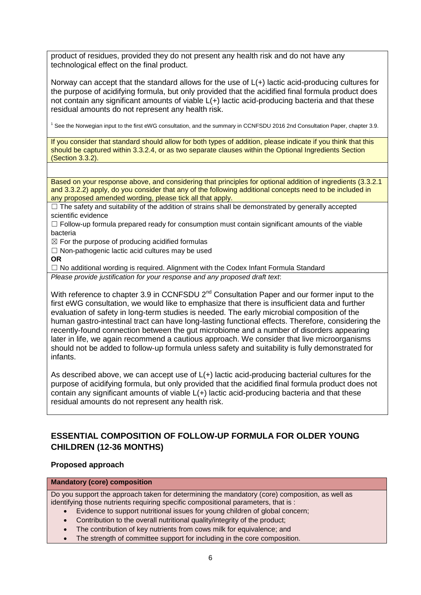product of residues, provided they do not present any health risk and do not have any technological effect on the final product.

Norway can accept that the standard allows for the use of L(+) lactic acid-producing cultures for the purpose of acidifying formula, but only provided that the acidified final formula product does not contain any significant amounts of viable L(+) lactic acid-producing bacteria and that these residual amounts do not represent any health risk.

<sup>1</sup> See the Norwegian input to the first eWG consultation, and the summary in CCNFSDU 2016 2nd Consultation Paper, chapter 3.9.

If you consider that standard should allow for both types of addition, please indicate if you think that this should be captured within 3.3.2.4, or as two separate clauses within the Optional Ingredients Section (Section 3.3.2).

Based on your response above, and considering that principles for optional addition of ingredients (3.3.2.1 and 3.3.2.2) apply, do you consider that any of the following additional concepts need to be included in any proposed amended wording, please tick all that apply.

 $\Box$  The safety and suitability of the addition of strains shall be demonstrated by generally accepted scientific evidence

 $\Box$  Follow-up formula prepared ready for consumption must contain significant amounts of the viable bacteria

 $\boxtimes$  For the purpose of producing acidified formulas

 $\Box$  Non-pathogenic lactic acid cultures may be used

#### **OR**

 $\Box$  No additional wording is required. Alignment with the Codex Infant Formula Standard *Please provide justification for your response and any proposed draft text*:

With reference to chapter 3.9 in CCNFSDU 2<sup>nd</sup> Consultation Paper and our former input to the first eWG consultation, we would like to emphasize that there is insufficient data and further evaluation of safety in long-term studies is needed. The early microbial composition of the human gastro-intestinal tract can have long-lasting functional effects. Therefore, considering the recently-found connection between the gut microbiome and a number of disorders appearing later in life, we again recommend a cautious approach. We consider that live microorganisms should not be added to follow-up formula unless safety and suitability is fully demonstrated for infants.

As described above, we can accept use of L(+) lactic acid-producing bacterial cultures for the purpose of acidifying formula, but only provided that the acidified final formula product does not contain any significant amounts of viable L(+) lactic acid-producing bacteria and that these residual amounts do not represent any health risk.

## **ESSENTIAL COMPOSITION OF FOLLOW-UP FORMULA FOR OLDER YOUNG CHILDREN (12-36 MONTHS)**

### **Proposed approach**

#### **Mandatory (core) composition**

Do you support the approach taken for determining the mandatory (core) composition, as well as identifying those nutrients requiring specific compositional parameters, that is :

- Evidence to support nutritional issues for young children of global concern;
- Contribution to the overall nutritional quality/integrity of the product;
- The contribution of key nutrients from cows milk for equivalence; and
- The strength of committee support for including in the core composition.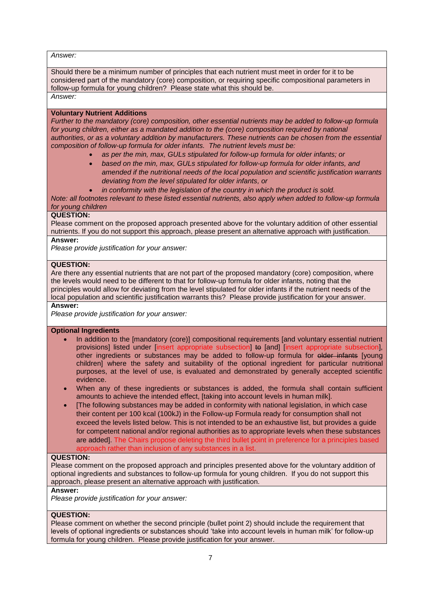*Answer:*

Should there be a minimum number of principles that each nutrient must meet in order for it to be considered part of the mandatory (core) composition, or requiring specific compositional parameters in follow-up formula for young children? Please state what this should be. *Answer:*

#### **Voluntary Nutrient Additions**

*Further to the mandatory (core) composition, other essential nutrients may be added to follow-up formula for young children, either as a mandated addition to the (core) composition required by national authorities, or as a voluntary addition by manufacturers. These nutrients can be chosen from the essential composition of follow-up formula for older infants. The nutrient levels must be:*

- *as per the min, max, GULs stipulated for follow-up formula for older infants; or*
- *based on the min, max, GULs stipulated for follow-up formula for older infants, and amended if the nutritional needs of the local population and scientific justification warrants deviating from the level stipulated for older infants, or*
- *in conformity with the legislation of the country in which the product is sold.*

*Note: all footnotes relevant to these listed essential nutrients, also apply when added to follow-up formula for young children*

#### **QUESTION:**

Please comment on the proposed approach presented above for the voluntary addition of other essential nutrients. If you do not support this approach, please present an alternative approach with justification.

#### **Answer:**

*Please provide justification for your answer:*

#### **QUESTION:**

Are there any essential nutrients that are not part of the proposed mandatory (core) composition, where the levels would need to be different to that for follow-up formula for older infants, noting that the principles would allow for deviating from the level stipulated for older infants if the nutrient needs of the local population and scientific justification warrants this? Please provide justification for your answer.

#### **Answer:**

*Please provide justification for your answer:*

#### **Optional Ingredients**

- In addition to the [mandatory (core)] compositional requirements [and voluntary essential nutrient provisions] listed under [insert appropriate subsection] to [and] [insert appropriate subsection]. other ingredients or substances may be added to follow-up formula for older infants [young children] where the safety and suitability of the optional ingredient for particular nutritional purposes, at the level of use, is evaluated and demonstrated by generally accepted scientific evidence.
- When any of these ingredients or substances is added, the formula shall contain sufficient amounts to achieve the intended effect, [taking into account levels in human milk].
- [The following substances may be added in conformity with national legislation, in which case their content per 100 kcal (100kJ) in the Follow-up Formula ready for consumption shall not exceed the levels listed below. This is not intended to be an exhaustive list, but provides a guide for competent national and/or regional authorities as to appropriate levels when these substances are added]. The Chairs propose deleting the third bullet point in preference for a principles based approach rather than inclusion of any substances in a list.

#### **QUESTION:**

Please comment on the proposed approach and principles presented above for the voluntary addition of optional ingredients and substances to follow-up formula for young children. If you do not support this approach, please present an alternative approach with justification.

#### **Answer:**

*Please provide justification for your answer:*

#### **QUESTION:**

Please comment on whether the second principle (bullet point 2) should include the requirement that levels of optional ingredients or substances should 'take into account levels in human milk' for follow-up formula for young children. Please provide justification for your answer.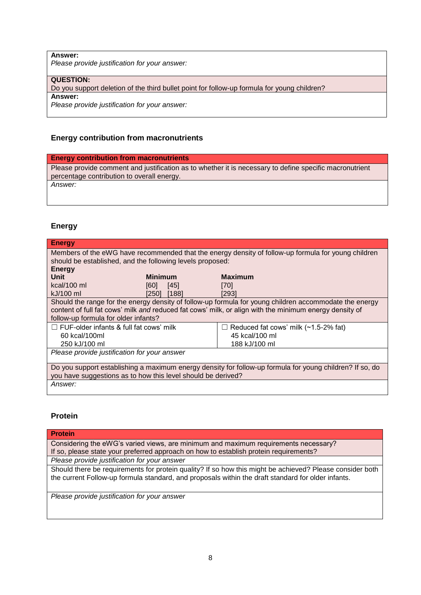**Answer:**

*Please provide justification for your answer:*

**QUESTION:**

Do you support deletion of the third bullet point for follow-up formula for young children?

**Answer:**

*Please provide justification for your answer:*

### **Energy contribution from macronutrients**

#### **Energy contribution from macronutrients**

Please provide comment and justification as to whether it is necessary to define specific macronutrient percentage contribution to overall energy.

*Answer:*

### **Energy**

| <b>Energy</b>                                                                                          |                |                                                                                                          |  |
|--------------------------------------------------------------------------------------------------------|----------------|----------------------------------------------------------------------------------------------------------|--|
| Members of the eWG have recommended that the energy density of follow-up formula for young children    |                |                                                                                                          |  |
| should be established, and the following levels proposed:                                              |                |                                                                                                          |  |
| <b>Energy</b>                                                                                          |                |                                                                                                          |  |
| Unit                                                                                                   | <b>Minimum</b> | <b>Maximum</b>                                                                                           |  |
| kcal/100 ml                                                                                            | [60]<br>[45]   | [70]                                                                                                     |  |
| kJ/100 ml                                                                                              | [188]<br>[250] | [293]                                                                                                    |  |
|                                                                                                        |                | Should the range for the energy density of follow-up formula for young children accommodate the energy   |  |
| content of full fat cows' milk and reduced fat cows' milk, or align with the minimum energy density of |                |                                                                                                          |  |
| follow-up formula for older infants?                                                                   |                |                                                                                                          |  |
| $\Box$ FUF-older infants & full fat cows' milk                                                         |                | $\Box$ Reduced fat cows' milk (~1.5-2% fat)                                                              |  |
| 60 kcal/100ml                                                                                          |                | 45 kcal/100 ml                                                                                           |  |
| 250 kJ/100 ml                                                                                          |                | 188 kJ/100 ml                                                                                            |  |
| Please provide justification for your answer                                                           |                |                                                                                                          |  |
|                                                                                                        |                |                                                                                                          |  |
|                                                                                                        |                | Do you support establishing a maximum energy density for follow-up formula for young children? If so, do |  |
| you have suggestions as to how this level should be derived?                                           |                |                                                                                                          |  |
| <i>Answer:</i>                                                                                         |                |                                                                                                          |  |
|                                                                                                        |                |                                                                                                          |  |

### **Protein**

| <b>Protein</b>                                                                                                                                                                                                 |
|----------------------------------------------------------------------------------------------------------------------------------------------------------------------------------------------------------------|
| Considering the eWG's varied views, are minimum and maximum requirements necessary?                                                                                                                            |
| If so, please state your preferred approach on how to establish protein requirements?                                                                                                                          |
| Please provide justification for your answer                                                                                                                                                                   |
| Should there be requirements for protein quality? If so how this might be achieved? Please consider both<br>the current Follow-up formula standard, and proposals within the draft standard for older infants. |
| Please provide justification for your answer                                                                                                                                                                   |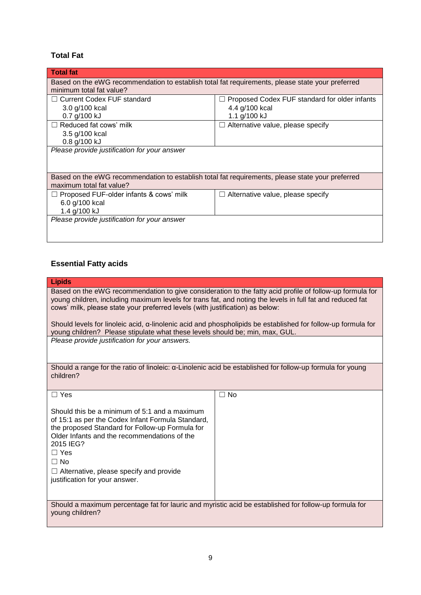## **Total Fat**

| <b>Total fat</b>                                                                                 |                                               |  |
|--------------------------------------------------------------------------------------------------|-----------------------------------------------|--|
| Based on the eWG recommendation to establish total fat requirements, please state your preferred |                                               |  |
| minimum total fat value?                                                                         |                                               |  |
| Current Codex FUF standard                                                                       | Proposed Codex FUF standard for older infants |  |
| 3.0 g/100 kcal                                                                                   | 4.4 g/100 kcal                                |  |
| 0.7 g/100 kJ                                                                                     | 1.1 g/100 kJ                                  |  |
| Reduced fat cows' milk                                                                           | $\Box$ Alternative value, please specify      |  |
| 3.5 g/100 kcal                                                                                   |                                               |  |
| 0.8 g/100 kJ                                                                                     |                                               |  |
| Please provide justification for your answer                                                     |                                               |  |
|                                                                                                  |                                               |  |
|                                                                                                  |                                               |  |
| Based on the eWG recommendation to establish total fat requirements, please state your preferred |                                               |  |
| maximum total fat value?                                                                         |                                               |  |
| Proposed FUF-older infants & cows' milk                                                          | Alternative value, please specify             |  |
| 6.0 g/100 kcal                                                                                   |                                               |  |
| 1.4 g/100 kJ                                                                                     |                                               |  |
| Please provide justification for your answer                                                     |                                               |  |
|                                                                                                  |                                               |  |
|                                                                                                  |                                               |  |

## **Essential Fatty acids**

| <b>Lipids</b>                                                                                                                                                                                                                                                                                          |      |  |
|--------------------------------------------------------------------------------------------------------------------------------------------------------------------------------------------------------------------------------------------------------------------------------------------------------|------|--|
| Based on the eWG recommendation to give consideration to the fatty acid profile of follow-up formula for<br>young children, including maximum levels for trans fat, and noting the levels in full fat and reduced fat<br>cows' milk, please state your preferred levels (with justification) as below: |      |  |
| Should levels for linoleic acid, α-linolenic acid and phospholipids be established for follow-up formula for<br>young children? Please stipulate what these levels should be; min, max, GUL.                                                                                                           |      |  |
| Please provide justification for your answers.                                                                                                                                                                                                                                                         |      |  |
| Should a range for the ratio of linoleic: α-Linolenic acid be established for follow-up formula for young<br>children?                                                                                                                                                                                 |      |  |
| $\Box$ Yes                                                                                                                                                                                                                                                                                             | ⊐ No |  |
| Should this be a minimum of 5:1 and a maximum<br>of 15:1 as per the Codex Infant Formula Standard,<br>the proposed Standard for Follow-up Formula for<br>Older Infants and the recommendations of the<br>2015 IEG?<br>$\Box$ Yes<br>∩ No<br>$\Box$ Alternative, please specify and provide             |      |  |
| justification for your answer.                                                                                                                                                                                                                                                                         |      |  |
|                                                                                                                                                                                                                                                                                                        |      |  |
| Should a maximum percentage fat for lauric and myristic acid be established for follow-up formula for<br>young children?                                                                                                                                                                               |      |  |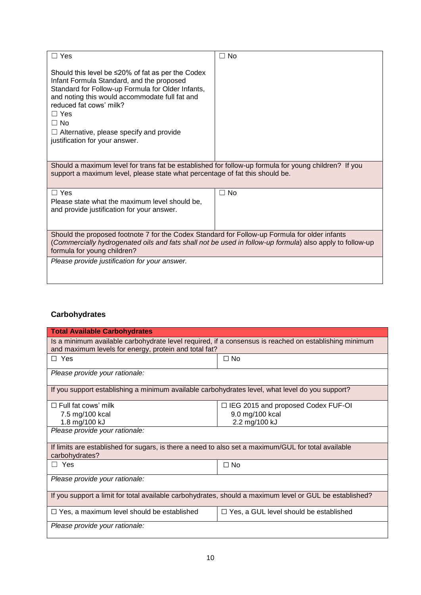| ∃ Yes                                                                                                                                                                                                                                                                                                                                          | ⊐ No |
|------------------------------------------------------------------------------------------------------------------------------------------------------------------------------------------------------------------------------------------------------------------------------------------------------------------------------------------------|------|
| Should this level be $\leq$ 20% of fat as per the Codex<br>Infant Formula Standard, and the proposed<br>Standard for Follow-up Formula for Older Infants,<br>and noting this would accommodate full fat and<br>reduced fat cows' milk?<br>$\Box$ Yes<br>$\Box$ No<br>Alternative, please specify and provide<br>justification for your answer. |      |
| Should a maximum level for trans fat be established for follow-up formula for young children? If you<br>support a maximum level, please state what percentage of fat this should be.                                                                                                                                                           |      |
| $\Box$ Yes                                                                                                                                                                                                                                                                                                                                     | ∃ No |
| Please state what the maximum level should be.<br>and provide justification for your answer.                                                                                                                                                                                                                                                   |      |
| Should the proposed footnote 7 for the Codex Standard for Follow-up Formula for older infants<br>(Commercially hydrogenated oils and fats shall not be used in follow-up formula) also apply to follow-up<br>formula for young children?                                                                                                       |      |
| Please provide justification for your answer.                                                                                                                                                                                                                                                                                                  |      |

# **Carbohydrates**

| <b>Total Available Carbohydrates</b>                                                                                                                           |                                               |  |
|----------------------------------------------------------------------------------------------------------------------------------------------------------------|-----------------------------------------------|--|
| Is a minimum available carbohydrate level required, if a consensus is reached on establishing minimum<br>and maximum levels for energy, protein and total fat? |                                               |  |
| $\Box$ Yes                                                                                                                                                     | $\Box$ No                                     |  |
| Please provide your rationale:                                                                                                                                 |                                               |  |
| If you support establishing a minimum available carbohydrates level, what level do you support?                                                                |                                               |  |
| $\Box$ Full fat cows' milk                                                                                                                                     | $\Box$ IEG 2015 and proposed Codex FUF-OI     |  |
| 7.5 mg/100 kcal                                                                                                                                                | 9.0 mg/100 kcal                               |  |
| 1.8 mg/100 kJ                                                                                                                                                  | 2.2 mg/100 kJ                                 |  |
| Please provide your rationale:                                                                                                                                 |                                               |  |
| If limits are established for sugars, is there a need to also set a maximum/GUL for total available<br>carbohydrates?                                          |                                               |  |
| $\Box$ Yes                                                                                                                                                     | $\square$ No                                  |  |
| Please provide your rationale:                                                                                                                                 |                                               |  |
| If you support a limit for total available carbohydrates, should a maximum level or GUL be established?                                                        |                                               |  |
| $\Box$ Yes, a maximum level should be established                                                                                                              | $\Box$ Yes, a GUL level should be established |  |
| Please provide your rationale:                                                                                                                                 |                                               |  |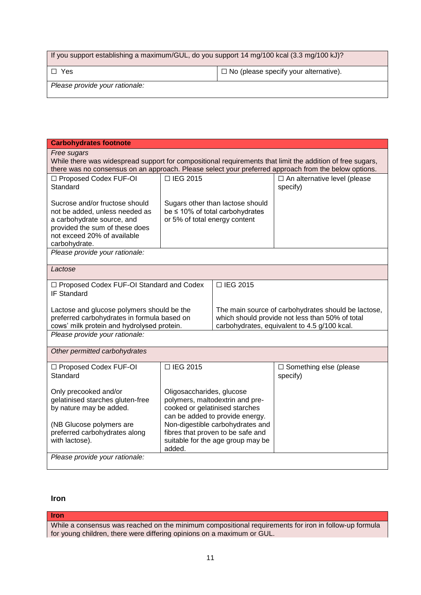| If you support establishing a maximum/GUL, do you support 14 mg/100 kcal (3.3 mg/100 kJ)? |  |  |
|-------------------------------------------------------------------------------------------|--|--|
| $\Box$ No (please specify your alternative).<br>l □ Yes                                   |  |  |
| Please provide your rationale:                                                            |  |  |

| <b>Carbohydrates footnote</b>                                                                                            |                                                              |                                                                        |                                                 |
|--------------------------------------------------------------------------------------------------------------------------|--------------------------------------------------------------|------------------------------------------------------------------------|-------------------------------------------------|
| Free sugars<br>While there was widespread support for compositional requirements that limit the addition of free sugars, |                                                              |                                                                        |                                                 |
| there was no consensus on an approach. Please select your preferred approach from the below options.                     |                                                              |                                                                        |                                                 |
| □ Proposed Codex FUF-OI                                                                                                  | □ IEG 2015                                                   |                                                                        | $\Box$ An alternative level (please             |
| Standard                                                                                                                 |                                                              |                                                                        | specify)                                        |
| Sucrose and/or fructose should                                                                                           |                                                              | Sugars other than lactose should                                       |                                                 |
| not be added, unless needed as                                                                                           |                                                              | be ≤ 10% of total carbohydrates                                        |                                                 |
| a carbohydrate source, and                                                                                               | or 5% of total energy content                                |                                                                        |                                                 |
| provided the sum of these does                                                                                           |                                                              |                                                                        |                                                 |
| not exceed 20% of available<br>carbohydrate.                                                                             |                                                              |                                                                        |                                                 |
| Please provide your rationale:                                                                                           |                                                              |                                                                        |                                                 |
|                                                                                                                          |                                                              |                                                                        |                                                 |
| Lactose                                                                                                                  |                                                              |                                                                        |                                                 |
| □ Proposed Codex FUF-OI Standard and Codex                                                                               |                                                              | □ IEG 2015                                                             |                                                 |
| IF Standard                                                                                                              |                                                              |                                                                        |                                                 |
| Lactose and glucose polymers should be the<br>The main source of carbohydrates should be lactose,                        |                                                              |                                                                        |                                                 |
| preferred carbohydrates in formula based on                                                                              |                                                              |                                                                        | which should provide not less than 50% of total |
| cows' milk protein and hydrolysed protein.                                                                               |                                                              |                                                                        | carbohydrates, equivalent to 4.5 g/100 kcal.    |
| Please provide your rationale:                                                                                           |                                                              |                                                                        |                                                 |
| Other permitted carbohydrates                                                                                            |                                                              |                                                                        |                                                 |
| □ Proposed Codex FUF-OI                                                                                                  | □ IEG 2015                                                   |                                                                        | $\Box$ Something else (please                   |
| Standard                                                                                                                 |                                                              |                                                                        | specify)                                        |
|                                                                                                                          |                                                              |                                                                        |                                                 |
| Only precooked and/or<br>gelatinised starches gluten-free                                                                | Oligosaccharides, glucose<br>polymers, maltodextrin and pre- |                                                                        |                                                 |
| by nature may be added.                                                                                                  | cooked or gelatinised starches                               |                                                                        |                                                 |
|                                                                                                                          | can be added to provide energy.                              |                                                                        |                                                 |
| (NB Glucose polymers are<br>preferred carbohydrates along                                                                | Non-digestible carbohydrates and                             |                                                                        |                                                 |
| with lactose).                                                                                                           |                                                              | fibres that proven to be safe and<br>suitable for the age group may be |                                                 |
|                                                                                                                          | added.                                                       |                                                                        |                                                 |
| Please provide your rationale:                                                                                           |                                                              |                                                                        |                                                 |
|                                                                                                                          |                                                              |                                                                        |                                                 |

## **Iron**

### **Iron**

While a consensus was reached on the minimum compositional requirements for iron in follow-up formula for young children, there were differing opinions on a maximum or GUL.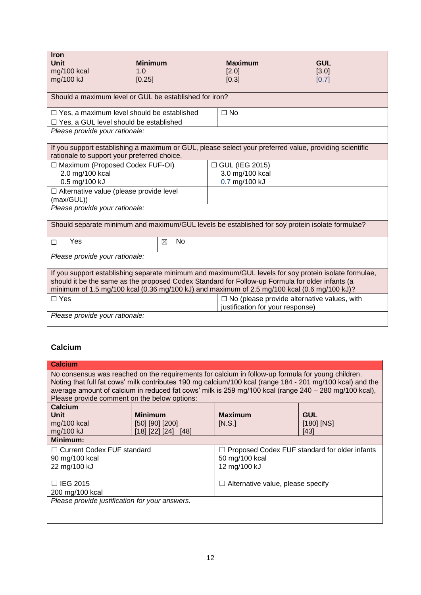| Iron<br>Unit                                                                                                                                                                                                                                                                                            | <b>Minimum</b> | <b>Maximum</b>                                                                                         | <b>GUL</b> |
|---------------------------------------------------------------------------------------------------------------------------------------------------------------------------------------------------------------------------------------------------------------------------------------------------------|----------------|--------------------------------------------------------------------------------------------------------|------------|
| mg/100 kcal                                                                                                                                                                                                                                                                                             | 1.0            | [2.0]                                                                                                  | [3.0]      |
| mg/100 kJ                                                                                                                                                                                                                                                                                               | [0.25]         | [0.3]                                                                                                  | [0.7]      |
| Should a maximum level or GUL be established for iron?                                                                                                                                                                                                                                                  |                |                                                                                                        |            |
| $\Box$ Yes, a maximum level should be established                                                                                                                                                                                                                                                       |                | $\square$ No                                                                                           |            |
| □ Yes, a GUL level should be established                                                                                                                                                                                                                                                                |                |                                                                                                        |            |
| Please provide your rationale:                                                                                                                                                                                                                                                                          |                |                                                                                                        |            |
| rationale to support your preferred choice.                                                                                                                                                                                                                                                             |                | If you support establishing a maximum or GUL, please select your preferred value, providing scientific |            |
| □ Maximum (Proposed Codex FUF-OI)                                                                                                                                                                                                                                                                       |                | □ GUL (IEG 2015)                                                                                       |            |
| 2.0 mg/100 kcal                                                                                                                                                                                                                                                                                         |                | 3.0 mg/100 kcal                                                                                        |            |
| 0.5 mg/100 kJ                                                                                                                                                                                                                                                                                           |                | 0.7 mg/100 kJ                                                                                          |            |
| □ Alternative value (please provide level<br>(max/GUL))                                                                                                                                                                                                                                                 |                |                                                                                                        |            |
| Please provide your rationale:                                                                                                                                                                                                                                                                          |                |                                                                                                        |            |
| Should separate minimum and maximum/GUL levels be established for soy protein isolate formulae?                                                                                                                                                                                                         |                |                                                                                                        |            |
| Yes<br>П                                                                                                                                                                                                                                                                                                | <b>No</b><br>⊠ |                                                                                                        |            |
| Please provide your rationale:                                                                                                                                                                                                                                                                          |                |                                                                                                        |            |
| If you support establishing separate minimum and maximum/GUL levels for soy protein isolate formulae,<br>should it be the same as the proposed Codex Standard for Follow-up Formula for older infants (a<br>minimum of 1.5 mg/100 kcal (0.36 mg/100 kJ) and maximum of 2.5 mg/100 kcal (0.6 mg/100 kJ)? |                |                                                                                                        |            |
| $\Box$ Yes                                                                                                                                                                                                                                                                                              |                | $\Box$ No (please provide alternative values, with<br>justification for your response)                 |            |
| Please provide your rationale:                                                                                                                                                                                                                                                                          |                |                                                                                                        |            |

## **Calcium**

| Calcium                                                                                                                                                                                                                                                                                                                                                                 |  |                                                                                 |      |
|-------------------------------------------------------------------------------------------------------------------------------------------------------------------------------------------------------------------------------------------------------------------------------------------------------------------------------------------------------------------------|--|---------------------------------------------------------------------------------|------|
| No consensus was reached on the requirements for calcium in follow-up formula for young children.<br>Noting that full fat cows' milk contributes 190 mg calcium/100 kcal (range 184 - 201 mg/100 kcal) and the<br>average amount of calcium in reduced fat cows' milk is 259 mg/100 kcal (range 240 - 280 mg/100 kcal),<br>Please provide comment on the below options: |  |                                                                                 |      |
| Calcium<br><b>Maximum</b><br>Unit<br><b>Minimum</b><br><b>GUL</b><br>mg/100 kcal<br>$[50]$ $[90]$ $[200]$<br>[N.S.]<br>$[180]$ $[NS]$<br>mg/100 kJ<br>[18] [22] [24] [48]                                                                                                                                                                                               |  |                                                                                 | [43] |
| Minimum:                                                                                                                                                                                                                                                                                                                                                                |  |                                                                                 |      |
| □ Current Codex FUF standard<br>90 mg/100 kcal<br>22 mg/100 kJ                                                                                                                                                                                                                                                                                                          |  | Proposed Codex FUF standard for older infants<br>50 mg/100 kcal<br>12 mg/100 kJ |      |
| $\Box$ IEG 2015<br>$\Box$ Alternative value, please specify<br>200 mg/100 kcal                                                                                                                                                                                                                                                                                          |  |                                                                                 |      |
| Please provide justification for your answers.                                                                                                                                                                                                                                                                                                                          |  |                                                                                 |      |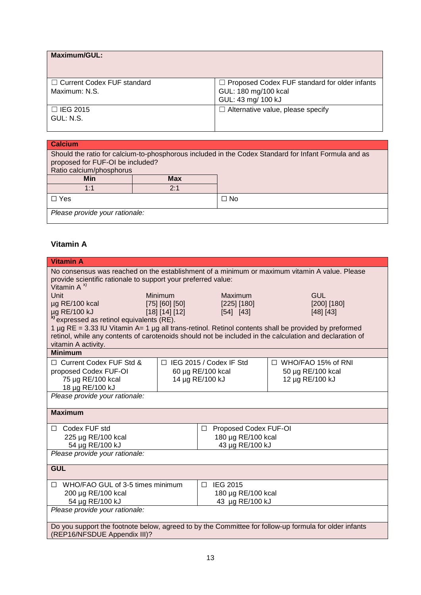| Maximum/GUL:                                  |                                                                                                    |
|-----------------------------------------------|----------------------------------------------------------------------------------------------------|
| □ Current Codex FUF standard<br>Maximum: N.S. | $\Box$ Proposed Codex FUF standard for older infants<br>GUL: 180 mg/100 kcal<br>GUL: 43 mg/ 100 kJ |
| $\Box$ IEG 2015<br>GUL: N.S.                  | $\Box$ Alternative value, please specify                                                           |

| <b>Calcium</b>                                                                                                                                                       |            |  |
|----------------------------------------------------------------------------------------------------------------------------------------------------------------------|------------|--|
| Should the ratio for calcium-to-phosphorous included in the Codex Standard for Infant Formula and as<br>proposed for FUF-OI be included?<br>Ratio calcium/phosphorus |            |  |
| <b>Min</b>                                                                                                                                                           | <b>Max</b> |  |
| 1:1                                                                                                                                                                  | 2:1        |  |
| $\Box$ No<br>□ Yes                                                                                                                                                   |            |  |
| Please provide your rationale:                                                                                                                                       |            |  |

## **Vitamin A**

| <b>Vitamin A</b>                                                                                               |                      |                                      |                           |
|----------------------------------------------------------------------------------------------------------------|----------------------|--------------------------------------|---------------------------|
| No consensus was reached on the establishment of a minimum or maximum vitamin A value. Please                  |                      |                                      |                           |
| provide scientific rationale to support your preferred value:<br>Vitamin $A^{x}$                               |                      |                                      |                           |
| <b>Unit</b>                                                                                                    | <b>Minimum</b>       | Maximum                              | <b>GUL</b>                |
| µg RE/100 kcal                                                                                                 | $[75]$ $[60]$ $[50]$ | [225] [180]                          | [200] [180]               |
| µg RE/100 kJ                                                                                                   | [18] [14] [12]       | [54] [43]                            | [48] [43]                 |
| <sup>x)</sup> expressed as retinol equivalents (RE).                                                           |                      |                                      |                           |
| 1 $\mu$ g RE = 3.33 IU Vitamin A= 1 $\mu$ g all trans-retinol. Retinol contents shall be provided by preformed |                      |                                      |                           |
| retinol, while any contents of carotenoids should not be included in the calculation and declaration of        |                      |                                      |                           |
| vitamin A activity.                                                                                            |                      |                                      |                           |
| <b>Minimum</b>                                                                                                 |                      |                                      |                           |
| $\Box$ Current Codex FUF Std &                                                                                 |                      | $\Box$ IEG 2015 / Codex IF Std       | $\Box$ WHO/FAO 15% of RNI |
| proposed Codex FUF-OI<br>75 µg RE/100 kcal                                                                     |                      | 60 µg RE/100 kcal<br>14 µg RE/100 kJ | 50 µg RE/100 kcal         |
| 18 µg RE/100 kJ                                                                                                |                      |                                      | 12 µg RE/100 kJ           |
| Please provide your rationale:                                                                                 |                      |                                      |                           |
|                                                                                                                |                      |                                      |                           |
| <b>Maximum</b>                                                                                                 |                      |                                      |                           |
|                                                                                                                |                      |                                      |                           |
| □ Codex FUF std                                                                                                |                      | Proposed Codex FUF-OI<br>$\Box$      |                           |
| 225 µg RE/100 kcal                                                                                             |                      | 180 µg RE/100 kcal                   |                           |
| 54 µg RE/100 kJ                                                                                                |                      | 43 µg RE/100 kJ                      |                           |
| Please provide your rationale:                                                                                 |                      |                                      |                           |
| <b>GUL</b>                                                                                                     |                      |                                      |                           |
|                                                                                                                |                      |                                      |                           |
| □ IEG 2015<br>□ WHO/FAO GUL of 3-5 times minimum                                                               |                      |                                      |                           |
| 200 µg RE/100 kcal                                                                                             |                      | 180 µg RE/100 kcal                   |                           |
| 54 µg RE/100 kJ<br>43 µg RE/100 kJ<br>Please provide your rationale:                                           |                      |                                      |                           |
|                                                                                                                |                      |                                      |                           |
| Do you support the footnote below, agreed to by the Committee for follow-up formula for older infants          |                      |                                      |                           |
| (REP16/NFSDUE Appendix III)?                                                                                   |                      |                                      |                           |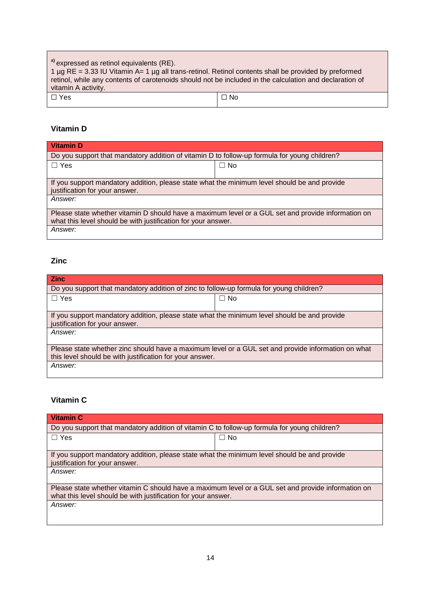| <sup>x)</sup> expressed as retinol equivalents (RE).<br>1 $\mu$ g RE = 3.33 IU Vitamin A= 1 $\mu$ g all trans-retinol. Retinol contents shall be provided by preformed<br>retinol, while any contents of carotenoids should not be included in the calculation and declaration of<br>vitamin A activity. |           |
|----------------------------------------------------------------------------------------------------------------------------------------------------------------------------------------------------------------------------------------------------------------------------------------------------------|-----------|
| $\Box$ Yes                                                                                                                                                                                                                                                                                               | $\Box$ No |

## **Vitamin D**

| <b>Vitamin D</b>                                                                                                                                                    |           |  |
|---------------------------------------------------------------------------------------------------------------------------------------------------------------------|-----------|--|
| Do you support that mandatory addition of vitamin D to follow-up formula for young children?                                                                        |           |  |
| $\Box$ Yes                                                                                                                                                          | $\Box$ No |  |
|                                                                                                                                                                     |           |  |
| If you support mandatory addition, please state what the minimum level should be and provide<br>justification for your answer.                                      |           |  |
| Answer:                                                                                                                                                             |           |  |
| Please state whether vitamin D should have a maximum level or a GUL set and provide information on<br>what this level should be with justification for your answer. |           |  |
| Answer:                                                                                                                                                             |           |  |

## **Zinc**

| <b>Zinc</b>                                                                                        |           |  |
|----------------------------------------------------------------------------------------------------|-----------|--|
| Do you support that mandatory addition of zinc to follow-up formula for young children?            |           |  |
| $\Box$ Yes                                                                                         | $\Box$ No |  |
|                                                                                                    |           |  |
| If you support mandatory addition, please state what the minimum level should be and provide       |           |  |
| justification for your answer.                                                                     |           |  |
| Answer:                                                                                            |           |  |
|                                                                                                    |           |  |
| Please state whether zinc should have a maximum level or a GUL set and provide information on what |           |  |
| this level should be with justification for your answer.                                           |           |  |
| Answer:                                                                                            |           |  |
|                                                                                                    |           |  |

# **Vitamin C**

| <b>Vitamin C</b>                                                                                   |           |  |
|----------------------------------------------------------------------------------------------------|-----------|--|
| Do you support that mandatory addition of vitamin C to follow-up formula for young children?       |           |  |
| $\Box$ Yes                                                                                         | $\Box$ No |  |
|                                                                                                    |           |  |
| If you support mandatory addition, please state what the minimum level should be and provide       |           |  |
| justification for your answer.                                                                     |           |  |
| Answer:                                                                                            |           |  |
|                                                                                                    |           |  |
| Please state whether vitamin C should have a maximum level or a GUL set and provide information on |           |  |
| what this level should be with justification for your answer.                                      |           |  |
| Answer:                                                                                            |           |  |
|                                                                                                    |           |  |
|                                                                                                    |           |  |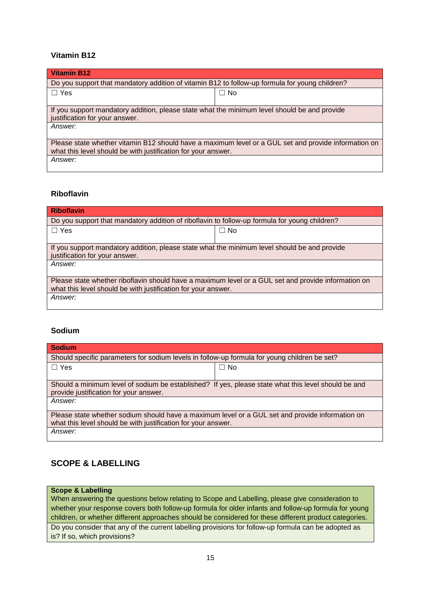### **Vitamin B12**

| <b>Vitamin B12</b>                                                                                   |           |  |
|------------------------------------------------------------------------------------------------------|-----------|--|
| Do you support that mandatory addition of vitamin B12 to follow-up formula for young children?       |           |  |
| $\Box$ Yes                                                                                           | $\Box$ No |  |
|                                                                                                      |           |  |
| If you support mandatory addition, please state what the minimum level should be and provide         |           |  |
| justification for your answer.                                                                       |           |  |
| Answer:                                                                                              |           |  |
|                                                                                                      |           |  |
| Please state whether vitamin B12 should have a maximum level or a GUL set and provide information on |           |  |
| what this level should be with justification for your answer.                                        |           |  |
| Answer:                                                                                              |           |  |
|                                                                                                      |           |  |

## **Riboflavin**

| <b>Riboflavin</b>                                                                                                                                                    |           |  |
|----------------------------------------------------------------------------------------------------------------------------------------------------------------------|-----------|--|
| Do you support that mandatory addition of riboflavin to follow-up formula for young children?                                                                        |           |  |
| $\Box$ Yes                                                                                                                                                           | $\Box$ No |  |
| If you support mandatory addition, please state what the minimum level should be and provide<br>justification for your answer.                                       |           |  |
| Answer:                                                                                                                                                              |           |  |
| Please state whether riboflavin should have a maximum level or a GUL set and provide information on<br>what this level should be with justification for your answer. |           |  |
| Answer:                                                                                                                                                              |           |  |

## **Sodium**

| <b>Sodium</b>                                                                                                                                                    |           |  |
|------------------------------------------------------------------------------------------------------------------------------------------------------------------|-----------|--|
| Should specific parameters for sodium levels in follow-up formula for young children be set?                                                                     |           |  |
| $\Box$ Yes                                                                                                                                                       | $\Box$ No |  |
|                                                                                                                                                                  |           |  |
| Should a minimum level of sodium be established? If yes, please state what this level should be and<br>provide justification for your answer.                    |           |  |
| Answer:                                                                                                                                                          |           |  |
| Please state whether sodium should have a maximum level or a GUL set and provide information on<br>what this level should be with justification for your answer. |           |  |
| Answer:                                                                                                                                                          |           |  |

## **SCOPE & LABELLING**

#### **Scope & Labelling**

When answering the questions below relating to Scope and Labelling, please give consideration to whether your response covers both follow-up formula for older infants and follow-up formula for young children, or whether different approaches should be considered for these different product categories. Do you consider that any of the current labelling provisions for follow-up formula can be adopted as

is? If so, which provisions?